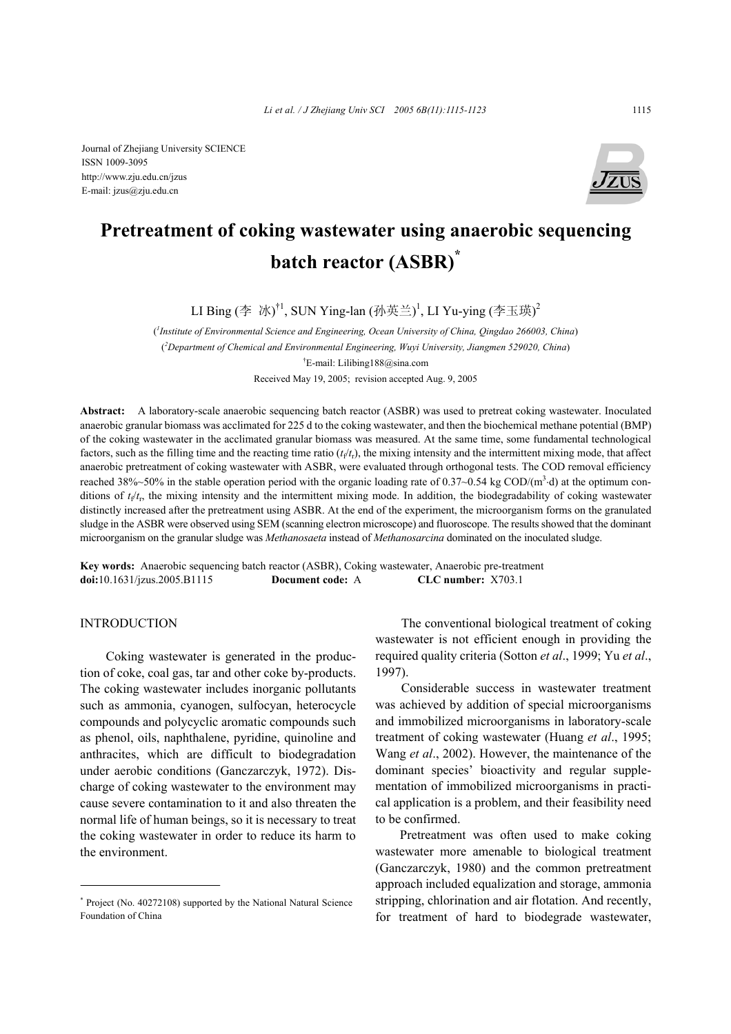

# **Pretreatment of coking wastewater using anaerobic sequencing batch reactor (ASBR)\***

LI Bing (李 冰) $^{\dagger1}$ , SUN Ying-lan (孙英兰) $^{\dagger}$ , LI Yu-ying (李玉瑛) $^{\dagger}$ 

( *1 Institute of Environmental Science and Engineering, Ocean University of China, Qingdao 266003, China*) ( *2 Department of Chemical and Environmental Engineering, Wuyi University, Jiangmen 529020, China*) † E-mail: Lilibing188@sina.com Received May 19, 2005; revision accepted Aug. 9, 2005

**Abstract:** A laboratory-scale anaerobic sequencing batch reactor (ASBR) was used to pretreat coking wastewater. Inoculated anaerobic granular biomass was acclimated for 225 d to the coking wastewater, and then the biochemical methane potential (BMP) of the coking wastewater in the acclimated granular biomass was measured. At the same time, some fundamental technological factors, such as the filling time and the reacting time ratio  $(t<sub>f</sub>/t<sub>f</sub>)$ , the mixing intensity and the intermittent mixing mode, that affect anaerobic pretreatment of coking wastewater with ASBR, were evaluated through orthogonal tests. The COD removal efficiency reached 38%~50% in the stable operation period with the organic loading rate of 0.37~0.54 kg COD/( $m<sup>3</sup>$  d) at the optimum conditions of  $t<sub>f</sub>/t<sub>r</sub>$ , the mixing intensity and the intermittent mixing mode. In addition, the biodegradability of coking wastewater distinctly increased after the pretreatment using ASBR. At the end of the experiment, the microorganism forms on the granulated sludge in the ASBR were observed using SEM (scanning electron microscope) and fluoroscope. The results showed that the dominant microorganism on the granular sludge was *Methanosaeta* instead of *Methanosarcina* dominated on the inoculated sludge.

**Key words:** Anaerobic sequencing batch reactor (ASBR), Coking wastewater, Anaerobic pre-treatment **doi:**10.1631/jzus.2005.B1115 **Document code:** A **CLC number:** X703.1

## INTRODUCTION

Coking wastewater is generated in the production of coke, coal gas, tar and other coke by-products. The coking wastewater includes inorganic pollutants such as ammonia, cyanogen, sulfocyan, heterocycle compounds and polycyclic aromatic compounds such as phenol, oils, naphthalene, pyridine, quinoline and anthracites, which are difficult to biodegradation under aerobic conditions (Ganczarczyk, 1972). Discharge of coking wastewater to the environment may cause severe contamination to it and also threaten the normal life of human beings, so it is necessary to treat the coking wastewater in order to reduce its harm to the environment.

The conventional biological treatment of coking wastewater is not efficient enough in providing the required quality criteria (Sotton *et al*., 1999; Yu *et al*., 1997).

Considerable success in wastewater treatment was achieved by addition of special microorganisms and immobilized microorganisms in laboratory-scale treatment of coking wastewater (Huang *et al*., 1995; Wang *et al*., 2002). However, the maintenance of the dominant species' bioactivity and regular supplementation of immobilized microorganisms in practical application is a problem, and their feasibility need to be confirmed.

Pretreatment was often used to make coking wastewater more amenable to biological treatment (Ganczarczyk, 1980) and the common pretreatment approach included equalization and storage, ammonia stripping, chlorination and air flotation. And recently, for treatment of hard to biodegrade wastewater,

<sup>\*</sup> Project (No. 40272108) supported by the National Natural Science Foundation of China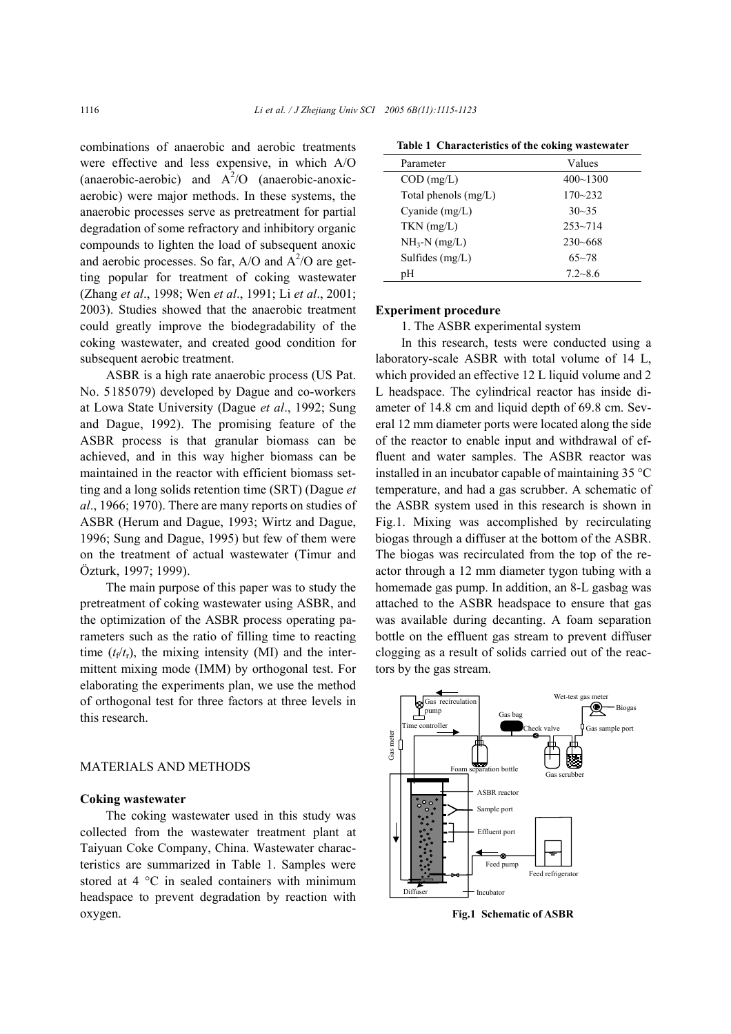combinations of anaerobic and aerobic treatments were effective and less expensive, in which A/O (anaerobic-aerobic) and  $A^2$ /O (anaerobic-anoxicaerobic) were major methods. In these systems, the anaerobic processes serve as pretreatment for partial degradation of some refractory and inhibitory organic compounds to lighten the load of subsequent anoxic and aerobic processes. So far,  $A/O$  and  $A^2/O$  are getting popular for treatment of coking wastewater (Zhang *et al*., 1998; Wen *et al*., 1991; Li *et al*., 2001; 2003). Studies showed that the anaerobic treatment could greatly improve the biodegradability of the coking wastewater, and created good condition for subsequent aerobic treatment.

ASBR is a high rate anaerobic process (US Pat. No. 5185079) developed by Dague and co-workers at Lowa State University (Dague *et al*., 1992; Sung and Dague, 1992). The promising feature of the ASBR process is that granular biomass can be achieved, and in this way higher biomass can be maintained in the reactor with efficient biomass setting and a long solids retention time (SRT) (Dague *et al*., 1966; 1970). There are many reports on studies of ASBR (Herum and Dague, 1993; Wirtz and Dague, 1996; Sung and Dague, 1995) but few of them were on the treatment of actual wastewater (Timur and Özturk, 1997; 1999).

The main purpose of this paper was to study the pretreatment of coking wastewater using ASBR, and the optimization of the ASBR process operating parameters such as the ratio of filling time to reacting time  $(t_f/t_f)$ , the mixing intensity (MI) and the intermittent mixing mode (IMM) by orthogonal test. For elaborating the experiments plan, we use the method of orthogonal test for three factors at three levels in this research.

## MATERIALS AND METHODS

#### **Coking wastewater**

The coking wastewater used in this study was collected from the wastewater treatment plant at Taiyuan Coke Company, China. Wastewater characteristics are summarized in Table 1. Samples were stored at 4 °C in sealed containers with minimum headspace to prevent degradation by reaction with oxygen.

| Parameter              | Values       |
|------------------------|--------------|
| $COD$ (mg/L)           | $400 - 1300$ |
| Total phenols $(mg/L)$ | $170 - 232$  |
| Cyanide $(mg/L)$       | $30 - 35$    |
| $TKN$ (mg/L)           | $253 - 714$  |
| $NH_3-N$ (mg/L)        | $230 - 668$  |
| Sulfides $(mg/L)$      | $65 - 78$    |
| pН                     | $7.2 - 8.6$  |

**Table 1 Characteristics of the coking wastewater** 

#### **Experiment procedure**

1. The ASBR experimental system

In this research, tests were conducted using a laboratory-scale ASBR with total volume of 14 L, which provided an effective 12 L liquid volume and 2 L headspace. The cylindrical reactor has inside diameter of 14.8 cm and liquid depth of 69.8 cm. Several 12 mm diameter ports were located along the side of the reactor to enable input and withdrawal of effluent and water samples. The ASBR reactor was installed in an incubator capable of maintaining 35 °C temperature, and had a gas scrubber. A schematic of the ASBR system used in this research is shown in Fig.1. Mixing was accomplished by recirculating biogas through a diffuser at the bottom of the ASBR. The biogas was recirculated from the top of the reactor through a 12 mm diameter tygon tubing with a homemade gas pump. In addition, an 8-L gasbag was attached to the ASBR headspace to ensure that gas was available during decanting. A foam separation bottle on the effluent gas stream to prevent diffuser clogging as a result of solids carried out of the reactors by the gas stream.



**Fig.1 Schematic of ASBR**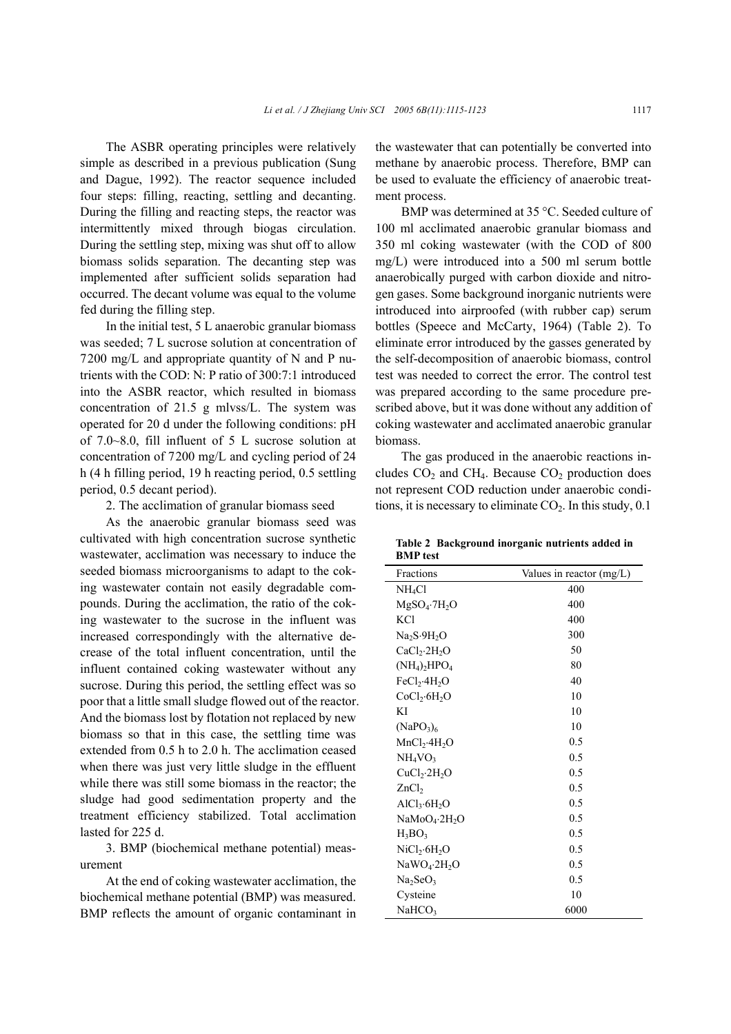The ASBR operating principles were relatively simple as described in a previous publication (Sung and Dague, 1992). The reactor sequence included four steps: filling, reacting, settling and decanting. During the filling and reacting steps, the reactor was intermittently mixed through biogas circulation. During the settling step, mixing was shut off to allow biomass solids separation. The decanting step was implemented after sufficient solids separation had occurred. The decant volume was equal to the volume fed during the filling step.

In the initial test, 5 L anaerobic granular biomass was seeded; 7 L sucrose solution at concentration of 7200 mg/L and appropriate quantity of N and P nutrients with the COD: N: P ratio of 300:7:1 introduced into the ASBR reactor, which resulted in biomass concentration of 21.5 g mlvss/L. The system was operated for 20 d under the following conditions: pH of 7.0~8.0, fill influent of 5 L sucrose solution at concentration of 7200 mg/L and cycling period of 24 h (4 h filling period, 19 h reacting period, 0.5 settling period, 0.5 decant period).

2. The acclimation of granular biomass seed

As the anaerobic granular biomass seed was cultivated with high concentration sucrose synthetic wastewater, acclimation was necessary to induce the seeded biomass microorganisms to adapt to the coking wastewater contain not easily degradable compounds. During the acclimation, the ratio of the coking wastewater to the sucrose in the influent was increased correspondingly with the alternative decrease of the total influent concentration, until the influent contained coking wastewater without any sucrose. During this period, the settling effect was so poor that a little small sludge flowed out of the reactor. And the biomass lost by flotation not replaced by new biomass so that in this case, the settling time was extended from 0.5 h to 2.0 h. The acclimation ceased when there was just very little sludge in the effluent while there was still some biomass in the reactor; the sludge had good sedimentation property and the treatment efficiency stabilized. Total acclimation lasted for 225 d.

3. BMP (biochemical methane potential) measurement

At the end of coking wastewater acclimation, the biochemical methane potential (BMP) was measured. BMP reflects the amount of organic contaminant in the wastewater that can potentially be converted into methane by anaerobic process. Therefore, BMP can be used to evaluate the efficiency of anaerobic treatment process.

BMP was determined at 35 °C. Seeded culture of 100 ml acclimated anaerobic granular biomass and 350 ml coking wastewater (with the COD of 800 mg/L) were introduced into a 500 ml serum bottle anaerobically purged with carbon dioxide and nitrogen gases. Some background inorganic nutrients were introduced into airproofed (with rubber cap) serum bottles (Speece and McCarty, 1964) (Table 2). To eliminate error introduced by the gasses generated by the self-decomposition of anaerobic biomass, control test was needed to correct the error. The control test was prepared according to the same procedure prescribed above, but it was done without any addition of coking wastewater and acclimated anaerobic granular biomass.

The gas produced in the anaerobic reactions includes  $CO<sub>2</sub>$  and CH<sub>4</sub>. Because  $CO<sub>2</sub>$  production does not represent COD reduction under anaerobic conditions, it is necessary to eliminate  $CO<sub>2</sub>$ . In this study, 0.1

|                 | Table 2 Background inorganic nutrients added in |  |  |
|-----------------|-------------------------------------------------|--|--|
| <b>BMP</b> test |                                                 |  |  |

| Fractions                             | Values in reactor (mg/L) |
|---------------------------------------|--------------------------|
| NH <sub>4</sub> Cl                    | 400                      |
| $MgSO_4$ -7 $H_2O$                    | 400                      |
| <b>KCl</b>                            | 400                      |
| Na <sub>2</sub> S.9H <sub>2</sub> O   | 300                      |
| CaCl <sub>2</sub> ·2H <sub>2</sub> O  | 50                       |
| $(NH_4)_2HPO_4$                       | 80                       |
| FeCl <sub>2</sub> ·4H <sub>2</sub> O  | 40                       |
| CoCl <sub>2</sub> ·6H <sub>2</sub> O  | 10                       |
| ΚI                                    | 10                       |
| (NaPO <sub>3</sub> ) <sub>6</sub>     | 10                       |
| MnCl <sub>2</sub> ·4H <sub>2</sub> O  | 0.5                      |
| NH <sub>4</sub> VO <sub>3</sub>       | 0.5                      |
| CuCl <sub>2</sub> ·2H <sub>2</sub> O  | 0.5                      |
| ZnCl <sub>2</sub>                     | 0.5                      |
| $AICl_3.6H_2O$                        | 0.5                      |
| NaMoO <sub>4</sub> ·2H <sub>2</sub> O | 0.5                      |
| $H_3BO_3$                             | 0.5                      |
| NiCl <sub>2</sub> ·6H <sub>2</sub> O  | 0.5                      |
| $NaWO_4.2H_2O$                        | 0.5                      |
| Na <sub>2</sub> SeO <sub>3</sub>      | 0.5                      |
| Cysteine                              | 10                       |
| NaHCO <sub>3</sub>                    | 6000                     |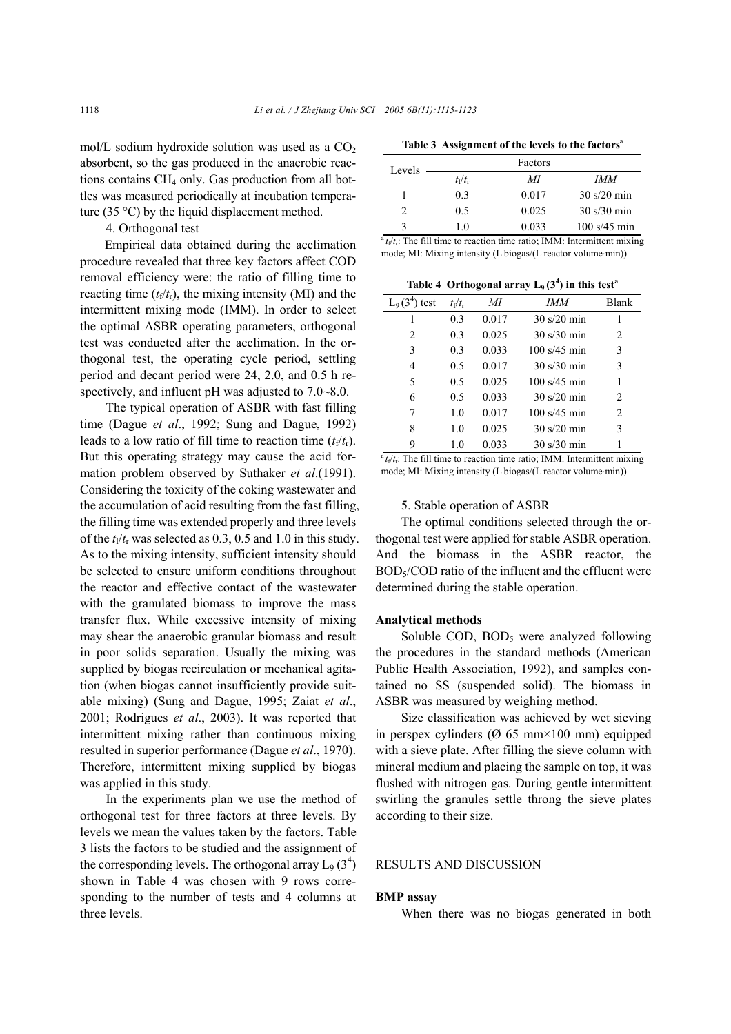mol/L sodium hydroxide solution was used as a  $CO<sub>2</sub>$ absorbent, so the gas produced in the anaerobic reactions contains  $CH_4$  only. Gas production from all bottles was measured periodically at incubation temperature (35  $\degree$ C) by the liquid displacement method.

4. Orthogonal test

Empirical data obtained during the acclimation procedure revealed that three key factors affect COD removal efficiency were: the ratio of filling time to reacting time  $(t_f/t_f)$ , the mixing intensity (MI) and the intermittent mixing mode (IMM). In order to select the optimal ASBR operating parameters, orthogonal test was conducted after the acclimation. In the orthogonal test, the operating cycle period, settling period and decant period were 24, 2.0, and 0.5 h respectively, and influent pH was adjusted to 7.0~8.0.

The typical operation of ASBR with fast filling time (Dague *et al*., 1992; Sung and Dague, 1992) leads to a low ratio of fill time to reaction time  $(t_f/t_r)$ . But this operating strategy may cause the acid formation problem observed by Suthaker *et al*.(1991). Considering the toxicity of the coking wastewater and the accumulation of acid resulting from the fast filling, the filling time was extended properly and three levels of the  $t_f/t_r$  was selected as 0.3, 0.5 and 1.0 in this study. As to the mixing intensity, sufficient intensity should be selected to ensure uniform conditions throughout the reactor and effective contact of the wastewater with the granulated biomass to improve the mass transfer flux. While excessive intensity of mixing may shear the anaerobic granular biomass and result in poor solids separation. Usually the mixing was supplied by biogas recirculation or mechanical agitation (when biogas cannot insufficiently provide suitable mixing) (Sung and Dague, 1995; Zaiat *et al*., 2001; Rodrigues *et al*., 2003). It was reported that intermittent mixing rather than continuous mixing resulted in superior performance (Dague *et al*., 1970). Therefore, intermittent mixing supplied by biogas was applied in this study.

In the experiments plan we use the method of orthogonal test for three factors at three levels. By levels we mean the values taken by the factors. Table 3 lists the factors to be studied and the assignment of the corresponding levels. The orthogonal array  $L_9$  (3<sup>4</sup>) shown in Table 4 was chosen with 9 rows corresponding to the number of tests and 4 columns at three levels.

Table 3 Assignment of the levels to the factors<sup>a</sup>

| Levels        |                       | Factors |                                      |
|---------------|-----------------------|---------|--------------------------------------|
|               | $t_{\rm f}/t_{\rm r}$ | МI      | IMM                                  |
|               | 03                    | 0.017   | $30 \frac{\text{s}}{20}$ min         |
| $\mathcal{L}$ | 0.5                   | 0.025   | $30 \frac{\text{s}}{30 \text{ min}}$ |
|               | 10                    | 0.033   | $100 \frac{\text{s}}{45}$ min        |

 $a_t/t$ <sub>f</sub>: The fill time to reaction time ratio; IMM: Intermittent mixing mode; MI: Mixing intensity (L biogas/(L reactor volume⋅min))

Table 4 Orthogonal array  $L_9(3^4)$  in this test<sup>a</sup>

| $L_9(3)$<br>test | $t_{\rm f}/t_{\rm r}$ | <i>IMM</i><br>МI |                                      | <b>Blank</b> |
|------------------|-----------------------|------------------|--------------------------------------|--------------|
|                  | 0.3                   | 0.017            | $30 \frac{\text{s}}{20}$ min         |              |
| 2                | 0.3                   | 0.025            | $30 \frac{\text{s}}{30 \text{ min}}$ | 2            |
| 3                | 0.3                   | 0.033            | $100 \frac{\text{s}}{45}$ min        | 3            |
| 4                | 0.5                   | 0.017            | $30 \frac{\text{s}}{30 \text{ min}}$ | 3            |
| 5                | 0.5                   | 0.025            | 100 s/45 min                         | 1            |
| 6                | 0.5                   | 0.033            | 30 s/20 min                          | 2            |
| 7                | 1.0                   | 0.017            | 100 s/45 min                         | 2            |
| 8                | 1 <sub>0</sub>        | 0.025            | $30 \frac{\text{s}}{20}$ min         | 3            |
| 9                | 1.0                   | 0.033            | $30 \frac{\text{s}}{30 \text{ min}}$ |              |

 $\frac{1}{t}$   $\frac{1}{t}$   $\frac{1}{t}$ . The fill time to reaction time ratio; IMM: Intermittent mixing mode; MI: Mixing intensity (L biogas/(L reactor volume⋅min))

#### 5. Stable operation of ASBR

The optimal conditions selected through the orthogonal test were applied for stable ASBR operation. And the biomass in the ASBR reactor, the BOD<sub>5</sub>/COD ratio of the influent and the effluent were determined during the stable operation.

#### **Analytical methods**

Soluble COD,  $BOD<sub>5</sub>$  were analyzed following the procedures in the standard methods (American Public Health Association, 1992), and samples contained no SS (suspended solid). The biomass in ASBR was measured by weighing method.

Size classification was achieved by wet sieving in perspex cylinders ( $\varnothing$  65 mm×100 mm) equipped with a sieve plate. After filling the sieve column with mineral medium and placing the sample on top, it was flushed with nitrogen gas. During gentle intermittent swirling the granules settle throng the sieve plates according to their size.

## RESULTS AND DISCUSSION

#### **BMP assay**

When there was no biogas generated in both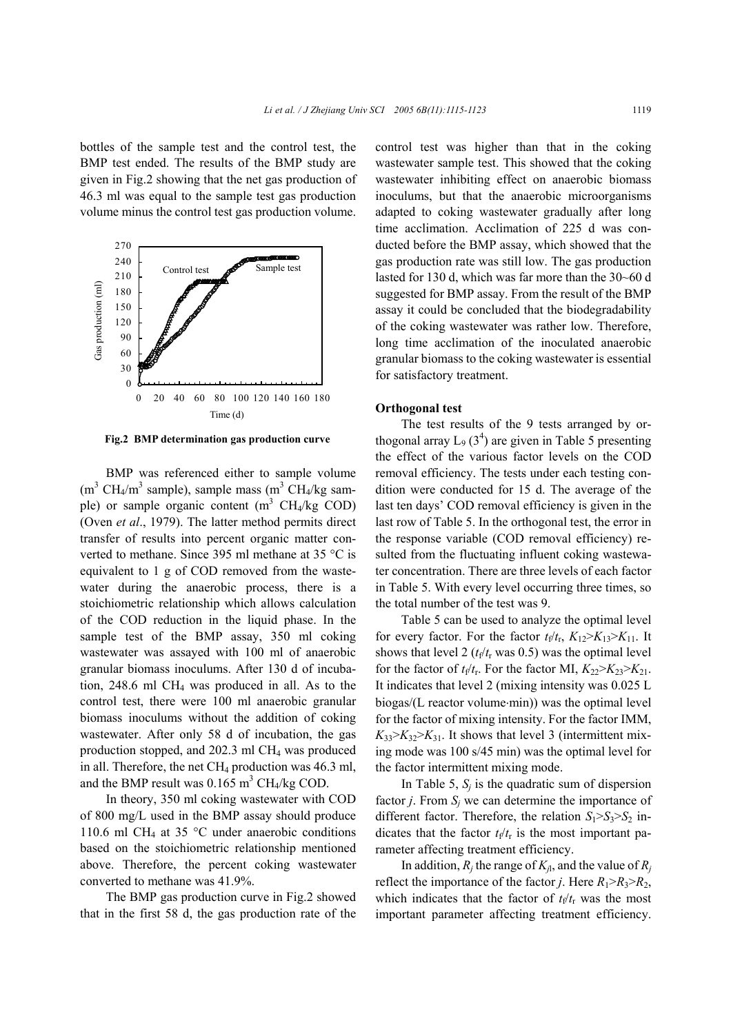bottles of the sample test and the control test, the BMP test ended. The results of the BMP study are given in Fig.2 showing that the net gas production of 46.3 ml was equal to the sample test gas production volume minus the control test gas production volume.



**Fig.2 BMP determination gas production curve** 

BMP was referenced either to sample volume  $(m^3 CH_4/m^3$  sample), sample mass  $(m^3 CH_4/kg \text{ sam-}$ ple) or sample organic content  $(m^3 \text{ CH}_4/\text{kg COD})$ (Oven *et al*., 1979). The latter method permits direct transfer of results into percent organic matter converted to methane. Since 395 ml methane at 35 °C is equivalent to 1 g of COD removed from the wastewater during the anaerobic process, there is a stoichiometric relationship which allows calculation of the COD reduction in the liquid phase. In the sample test of the BMP assay, 350 ml coking wastewater was assayed with 100 ml of anaerobic granular biomass inoculums. After 130 d of incubation,  $248.6$  ml CH<sub>4</sub> was produced in all. As to the control test, there were 100 ml anaerobic granular biomass inoculums without the addition of coking wastewater. After only 58 d of incubation, the gas production stopped, and 202.3 ml CH4 was produced in all. Therefore, the net  $CH_4$  production was 46.3 ml, and the BMP result was  $0.165 \text{ m}^3 \text{ CH}_4/\text{kg COD}$ .

In theory, 350 ml coking wastewater with COD of 800 mg/L used in the BMP assay should produce 110.6 ml CH<sub>4</sub> at 35 °C under anaerobic conditions based on the stoichiometric relationship mentioned above. Therefore, the percent coking wastewater converted to methane was 41.9%.

The BMP gas production curve in Fig.2 showed that in the first 58 d, the gas production rate of the

control test was higher than that in the coking wastewater sample test. This showed that the coking wastewater inhibiting effect on anaerobic biomass inoculums, but that the anaerobic microorganisms adapted to coking wastewater gradually after long time acclimation. Acclimation of 225 d was conducted before the BMP assay, which showed that the gas production rate was still low. The gas production lasted for 130 d, which was far more than the 30~60 d suggested for BMP assay. From the result of the BMP assay it could be concluded that the biodegradability of the coking wastewater was rather low. Therefore, long time acclimation of the inoculated anaerobic granular biomass to the coking wastewater is essential for satisfactory treatment.

### **Orthogonal test**

The test results of the 9 tests arranged by orthogonal array  $L_9$  (3<sup>4</sup>) are given in Table 5 presenting the effect of the various factor levels on the COD removal efficiency. The tests under each testing condition were conducted for 15 d. The average of the last ten days' COD removal efficiency is given in the last row of Table 5. In the orthogonal test, the error in the response variable (COD removal efficiency) resulted from the fluctuating influent coking wastewater concentration. There are three levels of each factor in Table 5. With every level occurring three times, so the total number of the test was 9.

Table 5 can be used to analyze the optimal level for every factor. For the factor  $t_f/t_r$ ,  $K_{12} > K_{13} > K_{11}$ . It shows that level 2  $(t_f/t_r \text{ was } 0.5)$  was the optimal level for the factor of  $t_f/t_r$ . For the factor MI,  $K_{22} > K_{23} > K_{21}$ . It indicates that level 2 (mixing intensity was 0.025 L biogas/(L reactor volume⋅min)) was the optimal level for the factor of mixing intensity. For the factor IMM,  $K_{33} > K_{32} > K_{31}$ . It shows that level 3 (intermittent mixing mode was 100 s/45 min) was the optimal level for the factor intermittent mixing mode.

In Table 5,  $S_i$  is the quadratic sum of dispersion factor *j*. From  $S_i$  we can determine the importance of different factor. Therefore, the relation  $S_1 > S_3 > S_2$  indicates that the factor  $t_f/t_r$  is the most important parameter affecting treatment efficiency.

In addition,  $R_i$  the range of  $K_{i,j}$ , and the value of  $R_i$ reflect the importance of the factor *j*. Here  $R_1 > R_3 > R_2$ , which indicates that the factor of  $t_f/t_r$  was the most important parameter affecting treatment efficiency.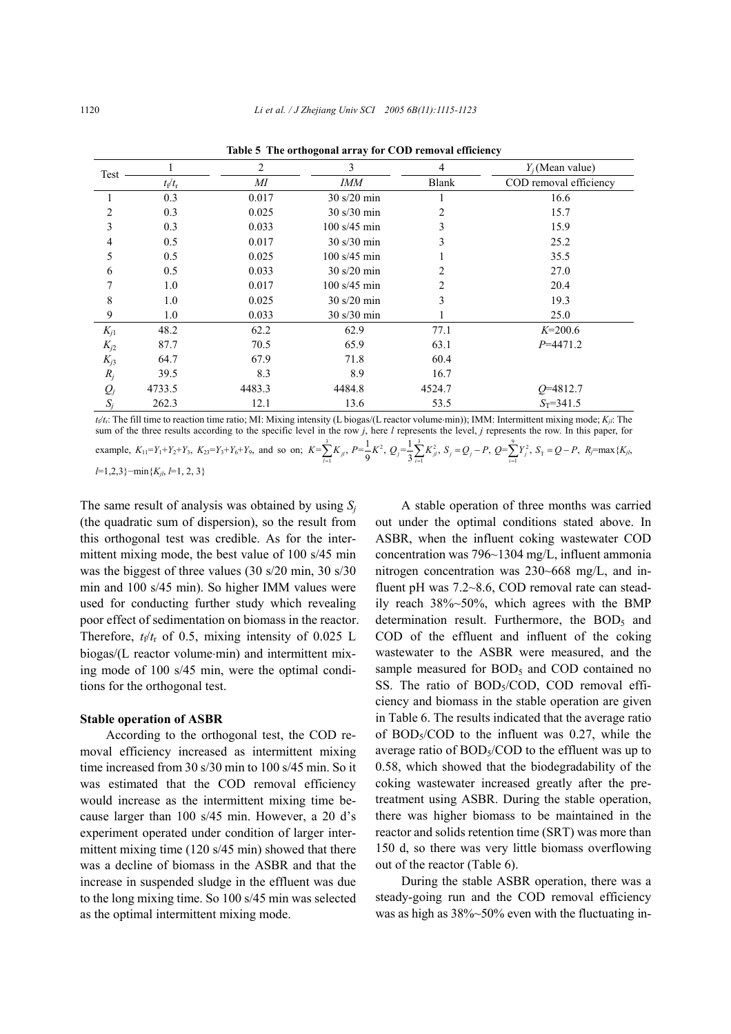| Test     |                       | $\overline{2}$ | 3                                    | 4              | $Y_i$ (Mean value)     |
|----------|-----------------------|----------------|--------------------------------------|----------------|------------------------|
|          | $t_{\rm f}/t_{\rm r}$ | MI             | <b>IMM</b>                           | <b>Blank</b>   | COD removal efficiency |
| 1        | 0.3                   | 0.017          | $30 \frac{\text{s}}{20}$ min         |                | 16.6                   |
| 2        | 0.3                   | 0.025          | $30 \frac{\text{s}}{30 \text{ min}}$ | $\overline{c}$ | 15.7                   |
| 3        | 0.3                   | 0.033          | $100 \frac{\text{s}}{45}$ min        | 3              | 15.9                   |
| 4        | 0.5                   | 0.017          | $30 \frac{\text{s}}{30 \text{ min}}$ | 3              | 25.2                   |
| 5        | 0.5                   | 0.025          | $100 \frac{\text{s}}{45}$ min        |                | 35.5                   |
| 6        | 0.5                   | 0.033          | $30 \frac{\text{s}}{20}$ min         | 2              | 27.0                   |
|          | 1.0                   | 0.017          | $100 \frac{\text{s}}{45}$ min        | $\overline{2}$ | 20.4                   |
| 8        | 1.0                   | 0.025          | $30 \frac{\text{s}}{20}$ min         | 3              | 19.3                   |
| 9        | 1.0                   | 0.033          | $30 \frac{\text{s}}{30 \text{ min}}$ |                | 25.0                   |
| $K_{j1}$ | 48.2                  | 62.2           | 62.9                                 | 77.1           | $K=200.6$              |
| $K_{j2}$ | 87.7                  | 70.5           | 65.9                                 | 63.1           | $P = 4471.2$           |
| $K_{j3}$ | 64.7                  | 67.9           | 71.8                                 | 60.4           |                        |
| $R_j$    | 39.5                  | 8.3            | 8.9                                  | 16.7           |                        |
| $Q_j$    | 4733.5                | 4483.3         | 4484.8                               | 4524.7         | $Q = 4812.7$           |
| $S_i$    | 262.3                 | 12.1           | 13.6                                 | 53.5           | $S_T = 341.5$          |

**Table 5 The orthogonal array for COD removal efficiency**

*t*f/*t*r: The fill time to reaction time ratio; MI: Mixing intensity (L biogas/(L reactor volume⋅min)); IMM: Intermittent mixing mode; *Kjl*: The sum of the three results according to the specific level in the row *j*, here *l* represents the level, *j* represents the row. In this paper, for

example,  $K_{11} = Y_1 + Y_2 + Y_3$ ,  $K_{23} = Y_3 + Y_6 + Y_9$ , and so on;  $K = \sum_{i=1}^{3} K_{ji}$ ,  $P = \frac{1}{9} K^2$ ,  $Q_j = \frac{1}{3} \sum_{i=1}^{3} K_{ji}^2$ ,  $S_j = Q_j - P$ ,  $Q = \sum_{i=1}^{9} Y_j^2$ ,  $S_T = \frac{1}{9} \sum_{i=1}^{9} Y_j^2$  $K = \sum_{i=1}^{3} K_{ji}, P = \frac{1}{9} K^{2}, Q_{j} = \frac{1}{3} \sum_{i=1}^{3} K_{ji}^{2}, S_{j} = Q_{j} - P, Q = \sum_{i=1}^{9} Y_{j}^{2}, S_{\text{T}} = Q - P, R_{\text{T}} = \sum_{i=1}^{9} K_{ji},$ 

*l*=1,2,3}−min{*Kjl*, *l*=1, 2, 3}

The same result of analysis was obtained by using  $S_i$ (the quadratic sum of dispersion), so the result from this orthogonal test was credible. As for the intermittent mixing mode, the best value of 100 s/45 min was the biggest of three values (30 s/20 min, 30 s/30 min and 100 s/45 min). So higher IMM values were used for conducting further study which revealing poor effect of sedimentation on biomass in the reactor. Therefore,  $t_f/t_f$  of 0.5, mixing intensity of 0.025 L biogas/(L reactor volume⋅min) and intermittent mixing mode of 100 s/45 min, were the optimal conditions for the orthogonal test.

#### **Stable operation of ASBR**

According to the orthogonal test, the COD removal efficiency increased as intermittent mixing time increased from 30 s/30 min to 100 s/45 min. So it was estimated that the COD removal efficiency would increase as the intermittent mixing time because larger than 100 s/45 min. However, a 20 d's experiment operated under condition of larger intermittent mixing time (120 s/45 min) showed that there was a decline of biomass in the ASBR and that the increase in suspended sludge in the effluent was due to the long mixing time. So 100 s/45 min was selected as the optimal intermittent mixing mode.

A stable operation of three months was carried out under the optimal conditions stated above. In ASBR, when the influent coking wastewater COD concentration was 796~1304 mg/L, influent ammonia nitrogen concentration was 230~668 mg/L, and influent pH was 7.2~8.6, COD removal rate can steadily reach 38%~50%, which agrees with the BMP determination result. Furthermore, the BOD<sub>5</sub> and COD of the effluent and influent of the coking wastewater to the ASBR were measured, and the sample measured for  $BOD<sub>5</sub>$  and  $COD$  contained no SS. The ratio of BOD<sub>5</sub>/COD, COD removal efficiency and biomass in the stable operation are given in Table 6. The results indicated that the average ratio of  $BOD<sub>5</sub>/COD$  to the influent was 0.27, while the average ratio of  $BOD<sub>5</sub>/COD$  to the effluent was up to 0.58, which showed that the biodegradability of the coking wastewater increased greatly after the pretreatment using ASBR. During the stable operation, there was higher biomass to be maintained in the reactor and solids retention time (SRT) was more than 150 d, so there was very little biomass overflowing out of the reactor (Table 6).

During the stable ASBR operation, there was a steady-going run and the COD removal efficiency was as high as 38%~50% even with the fluctuating in-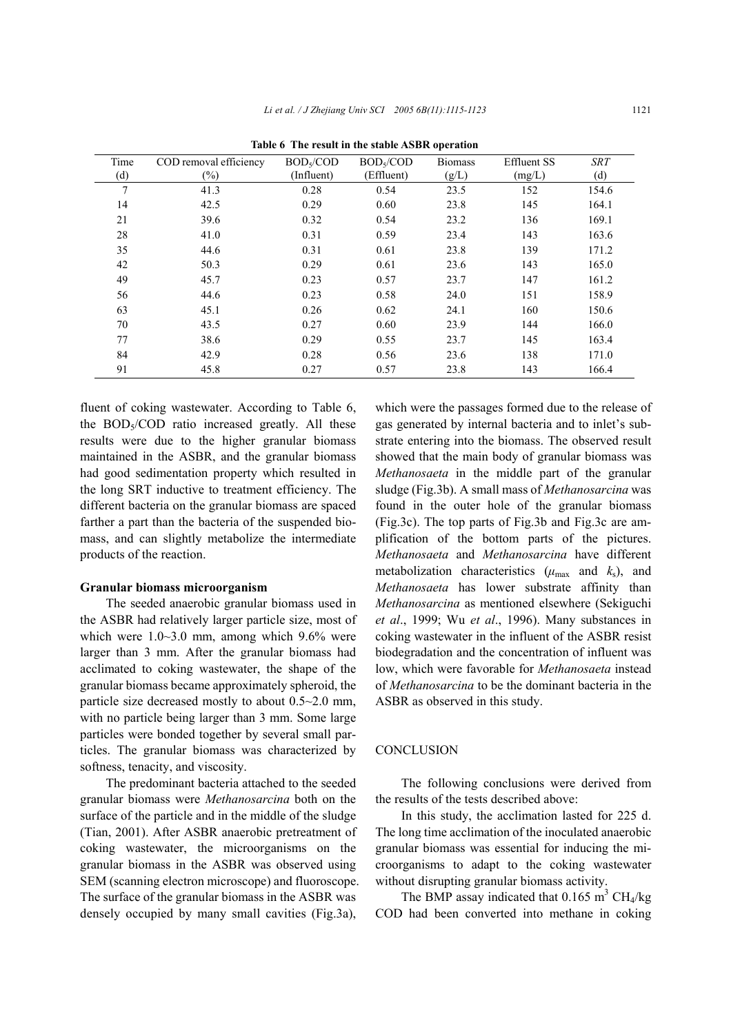| Time | COD removal efficiency | BOD <sub>5</sub> /COD | BOD <sub>5</sub> /COD | <b>Biomass</b> | <b>Effluent SS</b> | <b>SRT</b> |
|------|------------------------|-----------------------|-----------------------|----------------|--------------------|------------|
| (d)  | $(\%)$                 | (Influent)            | (Effluent)            | (g/L)          | (mg/L)             | (d)        |
| 7    | 41.3                   | 0.28                  | 0.54                  | 23.5           | 152                | 154.6      |
| 14   | 42.5                   | 0.29                  | 0.60                  | 23.8           | 145                | 164.1      |
| 21   | 39.6                   | 0.32                  | 0.54                  | 23.2           | 136                | 169.1      |
| 28   | 41.0                   | 0.31                  | 0.59                  | 23.4           | 143                | 163.6      |
| 35   | 44.6                   | 0.31                  | 0.61                  | 23.8           | 139                | 171.2      |
| 42   | 50.3                   | 0.29                  | 0.61                  | 23.6           | 143                | 165.0      |
| 49   | 45.7                   | 0.23                  | 0.57                  | 23.7           | 147                | 161.2      |
| 56   | 44.6                   | 0.23                  | 0.58                  | 24.0           | 151                | 158.9      |
| 63   | 45.1                   | 0.26                  | 0.62                  | 24.1           | 160                | 150.6      |
| 70   | 43.5                   | 0.27                  | 0.60                  | 23.9           | 144                | 166.0      |
| 77   | 38.6                   | 0.29                  | 0.55                  | 23.7           | 145                | 163.4      |
| 84   | 42.9                   | 0.28                  | 0.56                  | 23.6           | 138                | 171.0      |
| 91   | 45.8                   | 0.27                  | 0.57                  | 23.8           | 143                | 166.4      |

**Table 6 The result in the stable ASBR operation** 

fluent of coking wastewater. According to Table 6, the  $BOD<sub>5</sub>/COD$  ratio increased greatly. All these results were due to the higher granular biomass maintained in the ASBR, and the granular biomass had good sedimentation property which resulted in the long SRT inductive to treatment efficiency. The different bacteria on the granular biomass are spaced farther a part than the bacteria of the suspended biomass, and can slightly metabolize the intermediate products of the reaction.

## **Granular biomass microorganism**

The seeded anaerobic granular biomass used in the ASBR had relatively larger particle size, most of which were 1.0~3.0 mm, among which 9.6% were larger than 3 mm. After the granular biomass had acclimated to coking wastewater, the shape of the granular biomass became approximately spheroid, the particle size decreased mostly to about 0.5~2.0 mm, with no particle being larger than 3 mm. Some large particles were bonded together by several small particles. The granular biomass was characterized by softness, tenacity, and viscosity.

The predominant bacteria attached to the seeded granular biomass were *Methanosarcina* both on the surface of the particle and in the middle of the sludge (Tian, 2001). After ASBR anaerobic pretreatment of coking wastewater, the microorganisms on the granular biomass in the ASBR was observed using SEM (scanning electron microscope) and fluoroscope. The surface of the granular biomass in the ASBR was densely occupied by many small cavities (Fig.3a),

which were the passages formed due to the release of gas generated by internal bacteria and to inlet's substrate entering into the biomass. The observed result showed that the main body of granular biomass was *Methanosaeta* in the middle part of the granular sludge (Fig.3b). A small mass of *Methanosarcina* was found in the outer hole of the granular biomass (Fig.3c). The top parts of Fig.3b and Fig.3c are amplification of the bottom parts of the pictures. *Methanosaeta* and *Methanosarcina* have different metabolization characteristics ( $\mu_{\text{max}}$  and  $k_s$ ), and *Methanosaeta* has lower substrate affinity than *Methanosarcina* as mentioned elsewhere (Sekiguchi *et al*., 1999; Wu *et al*., 1996). Many substances in coking wastewater in the influent of the ASBR resist biodegradation and the concentration of influent was low, which were favorable for *Methanosaeta* instead of *Methanosarcina* to be the dominant bacteria in the ASBR as observed in this study.

#### CONCLUSION

The following conclusions were derived from the results of the tests described above:

In this study, the acclimation lasted for 225 d. The long time acclimation of the inoculated anaerobic granular biomass was essential for inducing the microorganisms to adapt to the coking wastewater without disrupting granular biomass activity.

The BMP assay indicated that  $0.165 \text{ m}^3 \text{ CH}_4/\text{kg}$ COD had been converted into methane in coking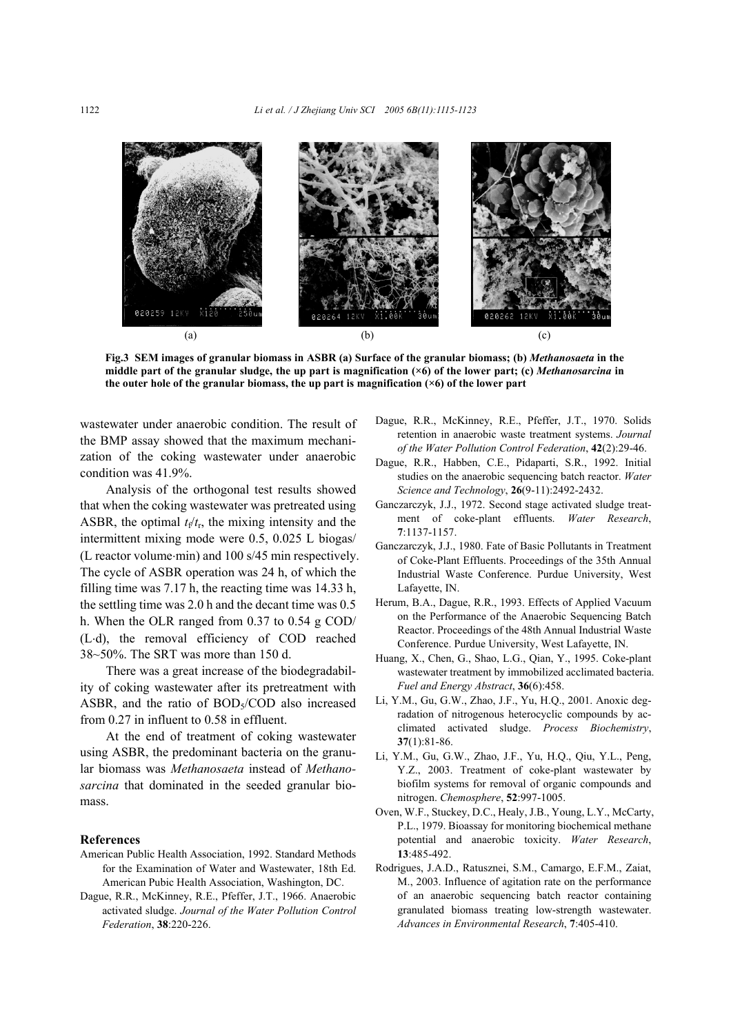

**Fig.3 SEM images of granular biomass in ASBR (a) Surface of the granular biomass; (b)** *Methanosaeta* **in the middle part of the granular sludge, the up part is magnification (×6) of the lower part; (c)** *Methanosarcina* **in the outer hole of the granular biomass, the up part is magnification (×6) of the lower part**

wastewater under anaerobic condition. The result of the BMP assay showed that the maximum mechanization of the coking wastewater under anaerobic condition was 41.9%.

Analysis of the orthogonal test results showed that when the coking wastewater was pretreated using ASBR, the optimal  $t_f/t_f$ , the mixing intensity and the intermittent mixing mode were 0.5, 0.025 L biogas/ (L reactor volume⋅min) and 100 s/45 min respectively. The cycle of ASBR operation was 24 h, of which the filling time was 7.17 h, the reacting time was 14.33 h, the settling time was 2.0 h and the decant time was 0.5 h. When the OLR ranged from 0.37 to 0.54 g COD/ (L⋅d), the removal efficiency of COD reached 38~50%. The SRT was more than 150 d.

There was a great increase of the biodegradability of coking wastewater after its pretreatment with ASBR, and the ratio of  $BOD<sub>5</sub>/COD$  also increased from 0.27 in influent to 0.58 in effluent.

At the end of treatment of coking wastewater using ASBR, the predominant bacteria on the granular biomass was *Methanosaeta* instead of *Methanosarcina* that dominated in the seeded granular biomass.

#### **References**

- American Public Health Association, 1992. Standard Methods for the Examination of Water and Wastewater, 18th Ed. American Pubic Health Association, Washington, DC.
- Dague, R.R., McKinney, R.E., Pfeffer, J.T., 1966. Anaerobic activated sludge. *Journal of the Water Pollution Control Federation*, **38**:220-226.
- Dague, R.R., McKinney, R.E., Pfeffer, J.T., 1970. Solids retention in anaerobic waste treatment systems. *Journal of the Water Pollution Control Federation*, **42**(2):29-46.
- Dague, R.R., Habben, C.E., Pidaparti, S.R., 1992. Initial studies on the anaerobic sequencing batch reactor. *Water Science and Technology*, **26**(9-11):2492-2432.
- Ganczarczyk, J.J., 1972. Second stage activated sludge treatment of coke-plant effluents. *Water Research*, **7**:1137-1157.
- Ganczarczyk, J.J., 1980. Fate of Basic Pollutants in Treatment of Coke-Plant Effluents. Proceedings of the 35th Annual Industrial Waste Conference. Purdue University, West Lafayette, IN.
- Herum, B.A., Dague, R.R., 1993. Effects of Applied Vacuum on the Performance of the Anaerobic Sequencing Batch Reactor. Proceedings of the 48th Annual Industrial Waste Conference. Purdue University, West Lafayette, IN.
- Huang, X., Chen, G., Shao, L.G., Qian, Y., 1995. Coke-plant wastewater treatment by immobilized acclimated bacteria. *Fuel and Energy Abstract*, **36**(6):458.
- Li, Y.M., Gu, G.W., Zhao, J.F., Yu, H.Q., 2001. Anoxic degradation of nitrogenous heterocyclic compounds by acclimated activated sludge. *Process Biochemistry*, **37**(1):81-86.
- Li, Y.M., Gu, G.W., Zhao, J.F., Yu, H.Q., Qiu, Y.L., Peng, Y.Z., 2003. Treatment of coke-plant wastewater by biofilm systems for removal of organic compounds and nitrogen. *Chemosphere*, **52**:997-1005.
- Oven, W.F., Stuckey, D.C., Healy, J.B., Young, L.Y., McCarty, P.L., 1979. Bioassay for monitoring biochemical methane potential and anaerobic toxicity. *Water Research*, **13**:485-492.
- Rodrigues, J.A.D., Ratusznei, S.M., Camargo, E.F.M., Zaiat, M., 2003. Influence of agitation rate on the performance of an anaerobic sequencing batch reactor containing granulated biomass treating low-strength wastewater. *Advances in Environmental Research*, **7**:405-410.